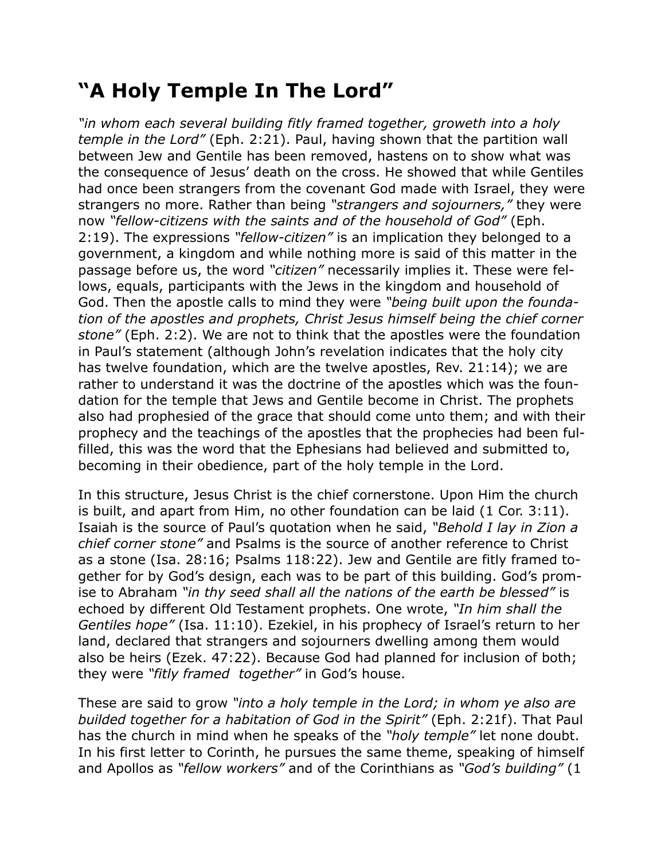## **"A Holy Temple In The Lord"**

*"in whom each several building fitly framed together, groweth into a holy temple in the Lord"* (Eph. 2:21). Paul, having shown that the partition wall between Jew and Gentile has been removed, hastens on to show what was the consequence of Jesus' death on the cross. He showed that while Gentiles had once been strangers from the covenant God made with Israel, they were strangers no more. Rather than being *"strangers and sojourners,"* they were now *"fellow-citizens with the saints and of the household of God"* (Eph. 2:19). The expressions *"fellow-citizen"* is an implication they belonged to a government, a kingdom and while nothing more is said of this matter in the passage before us, the word *"citizen"* necessarily implies it. These were fellows, equals, participants with the Jews in the kingdom and household of God. Then the apostle calls to mind they were *"being built upon the foundation of the apostles and prophets, Christ Jesus himself being the chief corner stone"* (Eph. 2:2). We are not to think that the apostles were the foundation in Paul's statement (although John's revelation indicates that the holy city has twelve foundation, which are the twelve apostles, Rev. 21:14); we are rather to understand it was the doctrine of the apostles which was the foundation for the temple that Jews and Gentile become in Christ. The prophets also had prophesied of the grace that should come unto them; and with their prophecy and the teachings of the apostles that the prophecies had been fulfilled, this was the word that the Ephesians had believed and submitted to, becoming in their obedience, part of the holy temple in the Lord.

In this structure, Jesus Christ is the chief cornerstone. Upon Him the church is built, and apart from Him, no other foundation can be laid (1 Cor. 3:11). Isaiah is the source of Paul's quotation when he said, *"Behold I lay in Zion a chief corner stone"* and Psalms is the source of another reference to Christ as a stone (Isa. 28:16; Psalms 118:22). Jew and Gentile are fitly framed together for by God's design, each was to be part of this building. God's promise to Abraham *"in thy seed shall all the nations of the earth be blessed"* is echoed by different Old Testament prophets. One wrote, *"In him shall the Gentiles hope"* (Isa. 11:10). Ezekiel, in his prophecy of Israel's return to her land, declared that strangers and sojourners dwelling among them would also be heirs (Ezek. 47:22). Because God had planned for inclusion of both; they were *"fitly framed together"* in God's house.

These are said to grow *"into a holy temple in the Lord; in whom ye also are builded together for a habitation of God in the Spirit"* (Eph. 2:21f). That Paul has the church in mind when he speaks of the *"holy temple"* let none doubt. In his first letter to Corinth, he pursues the same theme, speaking of himself and Apollos as *"fellow workers"* and of the Corinthians as *"God's building"* (1